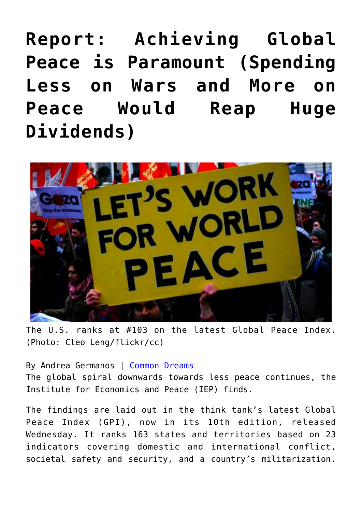**[Report: Achieving Global](https://consciouslifenews.com/report-achieving-global-peace-paramount-spending-less-wars-peace-reap-huge-dividends/11120690/) [Peace is Paramount \(Spending](https://consciouslifenews.com/report-achieving-global-peace-paramount-spending-less-wars-peace-reap-huge-dividends/11120690/) [Less on Wars and More on](https://consciouslifenews.com/report-achieving-global-peace-paramount-spending-less-wars-peace-reap-huge-dividends/11120690/) [Peace Would Reap Huge](https://consciouslifenews.com/report-achieving-global-peace-paramount-spending-less-wars-peace-reap-huge-dividends/11120690/) [Dividends\)](https://consciouslifenews.com/report-achieving-global-peace-paramount-spending-less-wars-peace-reap-huge-dividends/11120690/)**



The U.S. ranks at #103 on the latest Global Peace Index. (Photo: Cleo Leng/flickr/cc)

By Andrea Germanos | [Common Dreams](https://www.commondreams.org/news/2016/06/08/trillions-spent-violence-world-continues-downwards-spiral-away-peace) The global spiral downwards towards less peace continues, the Institute for Economics and Peace (IEP) finds.

The findings are laid out in the think tank's latest Global Peace Index (GPI), now in its 10th edition, released Wednesday. It ranks 163 states and territories based on 23 indicators covering domestic and international conflict, societal safety and security, and a country's militarization.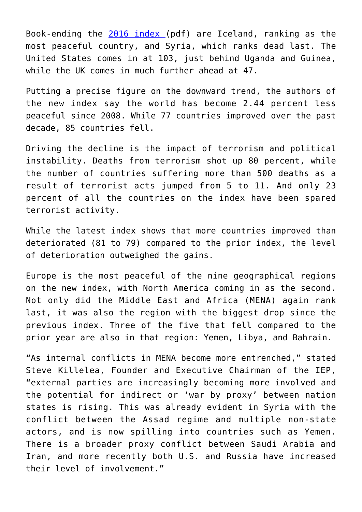Book-ending the [2016 index](https://www.visionofhumanity.org/sites/default/files/GPI%202016%20Report_2.pdf) (pdf) are Iceland, ranking as the most peaceful country, and Syria, which ranks dead last. The United States comes in at 103, just behind Uganda and Guinea, while the UK comes in much further ahead at 47.

Putting a precise figure on the downward trend, the authors of the new index say the world has become 2.44 percent less peaceful since 2008. While 77 countries improved over the past decade, 85 countries fell.

Driving the decline is the impact of terrorism and political instability. Deaths from terrorism shot up 80 percent, while the number of countries suffering more than 500 deaths as a result of terrorist acts jumped from 5 to 11. And only 23 percent of all the countries on the index have been spared terrorist activity.

While the latest index shows that more countries improved than deteriorated (81 to 79) compared to the prior index, the level of deterioration outweighed the gains.

Europe is the most peaceful of the nine geographical regions on the new index, with North America coming in as the second. Not only did the Middle East and Africa (MENA) again rank last, it was also the region with the biggest drop since the previous index. Three of the five that fell compared to the prior year are also in that region: Yemen, Libya, and Bahrain.

"As internal conflicts in MENA become more entrenched," stated Steve Killelea, Founder and Executive Chairman of the IEP, "external parties are increasingly becoming more involved and the potential for indirect or 'war by proxy' between nation states is rising. This was already evident in Syria with the conflict between the Assad regime and multiple non-state actors, and is now spilling into countries such as Yemen. There is a broader proxy conflict between Saudi Arabia and Iran, and more recently both U.S. and Russia have increased their level of involvement."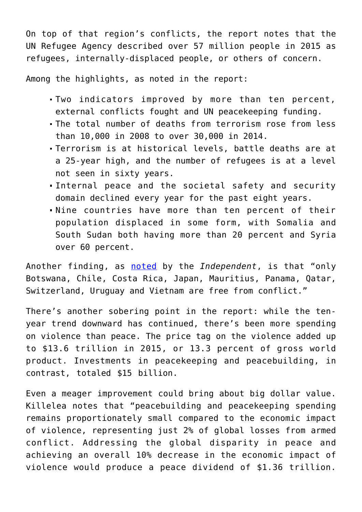On top of that region's conflicts, the report notes that the UN Refugee Agency described over 57 million people in 2015 as refugees, internally-displaced people, or others of concern.

Among the highlights, as noted in the report:

- Two indicators improved by more than ten percent, external conflicts fought and UN peacekeeping funding.
- The total number of deaths from terrorism rose from less than 10,000 in 2008 to over 30,000 in 2014.
- Terrorism is at historical levels, battle deaths are at a 25-year high, and the number of refugees is at a level not seen in sixty years.
- Internal peace and the societal safety and security domain declined every year for the past eight years.
- Nine countries have more than ten percent of their population displaced in some form, with Somalia and South Sudan both having more than 20 percent and Syria over 60 percent.

Another finding, as [noted](https://www.independent.co.uk/news/world/politics/global-peace-index-2016-there-are-now-only-10-countries-in-the-world-that-are-not-at-war-a7069816.html) by the *Independent*, is that "only Botswana, Chile, Costa Rica, Japan, Mauritius, Panama, Qatar, Switzerland, Uruguay and Vietnam are free from conflict."

There's another sobering point in the report: while the tenyear trend downward has continued, there's been more spending on violence than peace. The price tag on the violence added up to \$13.6 trillion in 2015, or 13.3 percent of gross world product. Investments in peacekeeping and peacebuilding, in contrast, totaled \$15 billion.

Even a meager improvement could bring about big dollar value. Killelea notes that "peacebuilding and peacekeeping spending remains proportionately small compared to the economic impact of violence, representing just 2% of global losses from armed conflict. Addressing the global disparity in peace and achieving an overall 10% decrease in the economic impact of violence would produce a peace dividend of \$1.36 trillion.